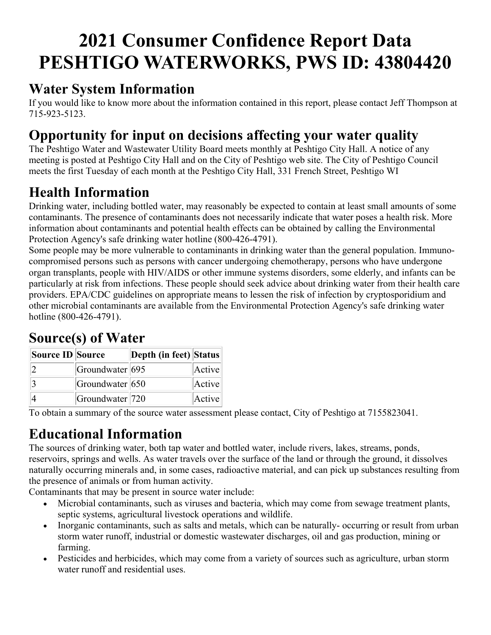# **2021 Consumer Confidence Report Data PESHTIGO WATERWORKS, PWS ID: 43804420**

### **Water System Information**

If you would like to know more about the information contained in this report, please contact Jeff Thompson at 715-923-5123.

## **Opportunity for input on decisions affecting your water quality**

The Peshtigo Water and Wastewater Utility Board meets monthly at Peshtigo City Hall. A notice of any meeting is posted at Peshtigo City Hall and on the City of Peshtigo web site. The City of Peshtigo Council meets the first Tuesday of each month at the Peshtigo City Hall, 331 French Street, Peshtigo WI

# **Health Information**

Drinking water, including bottled water, may reasonably be expected to contain at least small amounts of some contaminants. The presence of contaminants does not necessarily indicate that water poses a health risk. More information about contaminants and potential health effects can be obtained by calling the Environmental Protection Agency's safe drinking water hotline (800-426-4791).

Some people may be more vulnerable to contaminants in drinking water than the general population. Immunocompromised persons such as persons with cancer undergoing chemotherapy, persons who have undergone organ transplants, people with HIV/AIDS or other immune systems disorders, some elderly, and infants can be particularly at risk from infections. These people should seek advice about drinking water from their health care providers. EPA/CDC guidelines on appropriate means to lessen the risk of infection by cryptosporidium and other microbial contaminants are available from the Environmental Protection Agency's safe drinking water hotline (800-426-4791).

# **Source(s) of Water**

| Source ID Source |                              | Depth (in feet) Status |        |
|------------------|------------------------------|------------------------|--------|
|                  | Groundwater 695              |                        | Active |
|                  | Groundwater 650              |                        | Active |
|                  | Groundwater <sup> </sup> 720 |                        | Active |

To obtain a summary of the source water assessment please contact, City of Peshtigo at 7155823041.

# **Educational Information**

The sources of drinking water, both tap water and bottled water, include rivers, lakes, streams, ponds, reservoirs, springs and wells. As water travels over the surface of the land or through the ground, it dissolves naturally occurring minerals and, in some cases, radioactive material, and can pick up substances resulting from the presence of animals or from human activity.

Contaminants that may be present in source water include:

- Microbial contaminants, such as viruses and bacteria, which may come from sewage treatment plants, septic systems, agricultural livestock operations and wildlife.
- Inorganic contaminants, such as salts and metals, which can be naturally-occurring or result from urban storm water runoff, industrial or domestic wastewater discharges, oil and gas production, mining or farming.
- Pesticides and herbicides, which may come from a variety of sources such as agriculture, urban storm water runoff and residential uses.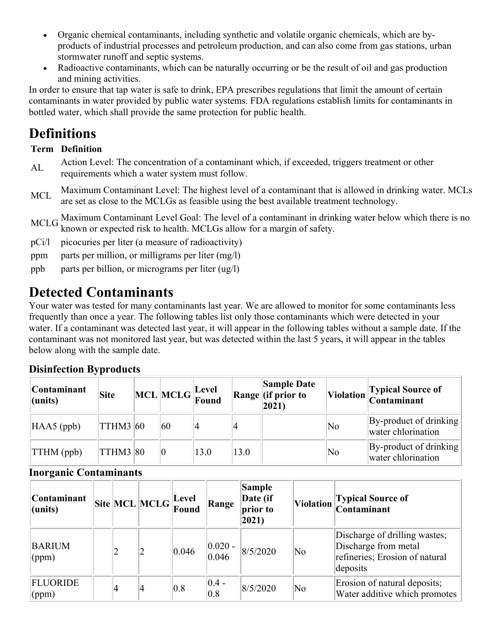- Organic chemical contaminants, including synthetic and volatile organic chemicals, which are byproducts of industrial processes and petroleum production, and can also come from gas stations, urban stormwater runoff and septic systems.
- Radioactive contaminants, which can be naturally occurring or be the result of oil and gas production and mining activities.

In order to ensure that tap water is safe to drink, EPA prescribes regulations that limit the amount of certain contaminants in water provided by public water systems. FDA regulations establish limits for contaminants in bottled water, which shall provide the same protection for public health.

### **Definitions**

### **Term Definition**

- Action Level: The concentration of a contaminant which, if exceeded, triggers treatment or other requirements which a water system must follow.
- McL Maximum Contaminant Level: The highest level of a contaminant that is allowed in drinking water. MCLs are set as close to the MCLGs as feasible using the best available treatment technology.

MCLG Maximum Contaminant Level Goal: The level of a contaminant in drinking water below which there is no known or expected risk to health. MCLGs allow for a margin of safety.

- pCi/l picocuries per liter (a measure of radioactivity)
- ppm parts per million, or milligrams per liter (mg/l)
- ppb parts per billion, or micrograms per liter (ug/l)

### **Detected Contaminants**

Your water was tested for many contaminants last year. We are allowed to monitor for some contaminants less frequently than once a year. The following tables list only those contaminants which were detected in your water. If a contaminant was detected last year, it will appear in the following tables without a sample date. If the contaminant was not monitored last year, but was detected within the last 5 years, it will appear in the tables below along with the sample date.

### **Disinfection Byproducts**

| <b>Contaminant</b><br>$ $ (units) | <b>Site</b>     | $\bigg\  \text{MCL} \bigg\  \text{MCLG} \bigg\  \begin{matrix} \text{Level} \ \text{Found} \end{matrix}$ |      |      | <b>Sample Date</b><br>Range (if prior to<br>$ 2021\rangle$ |    | Violation Typical Source of                       |
|-----------------------------------|-----------------|----------------------------------------------------------------------------------------------------------|------|------|------------------------------------------------------------|----|---------------------------------------------------|
| $HAA5$ (ppb)                      | THM3 60         | 60                                                                                                       |      |      |                                                            | No | $ By$ -product of drinking<br>water chlorination  |
| $\text{TTHM}$ (ppb)               | <b>TTHM3 80</b> | $ 0\rangle$                                                                                              | 13.0 | 13.0 |                                                            | No | $\ $ By-product of drinking<br>water chlorination |

### **Inorganic Contaminants**

| <b>Contaminant</b><br>$ $ (units) |    | $\ $ Site $\ $ MCL $\ $ MCLG $\ $ revel | Found | Range                | Sample<br>Date (if<br>prior to<br>2021) |                        | Violation Typical Source of<br>Contaminant                                                          |
|-----------------------------------|----|-----------------------------------------|-------|----------------------|-----------------------------------------|------------------------|-----------------------------------------------------------------------------------------------------|
| <b>BARIUM</b><br>(ppm)            |    |                                         | 0.046 | $ 0.020 -$<br> 0.046 | 8/5/2020                                | $\overline{\text{No}}$ | Discharge of drilling wastes;<br>Discharge from metal<br>refineries; Erosion of natural<br>deposits |
| <b>FLUORIDE</b><br>(ppm)          | 14 |                                         | 0.8   | $ 0.4 -$<br>0.8      | 8/5/2020                                | $\overline{\text{No}}$ | Erosion of natural deposits;<br>Water additive which promotes                                       |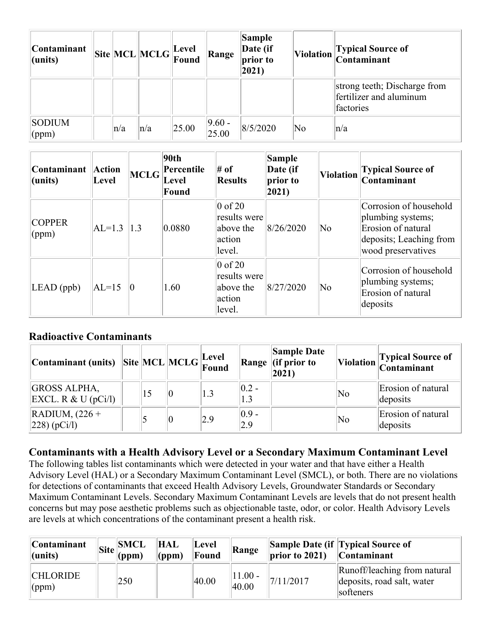| Contaminant<br>$ $ (units)      |         | $\boxed{\text{Site}}\boxed{\text{MCL}}\boxed{\text{MCLG}}\boxed{\text{Level}}$ |       | Range              | Sample<br>Date (if<br>prior to<br>$ 2021\rangle$ |    | Violation Typical Source of<br>Contaminant                           |
|---------------------------------|---------|--------------------------------------------------------------------------------|-------|--------------------|--------------------------------------------------|----|----------------------------------------------------------------------|
|                                 |         |                                                                                |       |                    |                                                  |    | strong teeth; Discharge from<br>fertilizer and aluminum<br>factories |
| <b>SODIUM</b><br>$\gamma$ (ppm) | $\ln/a$ | $\ln/a$                                                                        | 25.00 | $ 9.60 -$<br>25.00 | 8/5/2020                                         | No | $\ln/a$                                                              |

| Contaminant<br>$ $ (units)      | <b>Action</b><br>Level | <b>MCLG</b>     | 90th<br>Percentile<br>Level<br>Found | $#$ of<br><b>Results</b>                                             | <b>Sample</b><br>Date (if<br>prior to<br>$ 2021\rangle$ | <b>Violation</b> | <b>Typical Source of</b><br>Contaminant                                                                            |
|---------------------------------|------------------------|-----------------|--------------------------------------|----------------------------------------------------------------------|---------------------------------------------------------|------------------|--------------------------------------------------------------------------------------------------------------------|
| <b>COPPER</b><br>$\gamma$ (ppm) | $AL=1.3$               | 1.3             | 0.0880                               | $\vert 0$ of 20<br>results were<br>above the<br>action<br>level.     | 8/26/2020                                               | No               | Corrosion of household<br>plumbing systems;<br>Erosion of natural<br>deposits; Leaching from<br>wood preservatives |
| $LEAD$ (ppb)                    | $AL=15$                | $\vert 0 \vert$ | 1.60                                 | $ 0 \text{ of } 20$<br>results were<br>above the<br>action<br>level. | 8/27/2020                                               | No               | Corrosion of household<br>plumbing systems;<br>Erosion of natural<br>deposits                                      |

#### **Radioactive Contaminants**

| $\begin{array}{ c c c c c } \hline \textbf{Contininant (units)} & \textbf{Site} & \textbf{MCL} & \textbf{MCLG} & \textbf{Eevel} \\ \hline \end{array}$ |    |     |                 | <b>Sample Date</b><br>Range $\left\vert$ (if prior to<br>$ 2021\rangle$ |    | Violation Typical Source of<br>Contaminant |
|--------------------------------------------------------------------------------------------------------------------------------------------------------|----|-----|-----------------|-------------------------------------------------------------------------|----|--------------------------------------------|
| <b>GROSS ALPHA,</b><br>EXCL. R & U $(pCi/l)$                                                                                                           | 15 |     | $ 0.2 -$<br>1.3 |                                                                         | No | Erosion of natural<br>deposits             |
| $\vert$ RADIUM, $(226 +$<br> 228)(pCi/l)                                                                                                               |    | 2.9 | $ 0.9 -$<br>2.9 |                                                                         | No | Erosion of natural<br>deposits             |

### **Contaminants with a Health Advisory Level or a Secondary Maximum Contaminant Level**

The following tables list contaminants which were detected in your water and that have either a Health Advisory Level (HAL) or a Secondary Maximum Contaminant Level (SMCL), or both. There are no violations for detections of contaminants that exceed Health Advisory Levels, Groundwater Standards or Secondary Maximum Contaminant Levels. Secondary Maximum Contaminant Levels are levels that do not present health concerns but may pose aesthetic problems such as objectionable taste, odor, or color. Health Advisory Levels are levels at which concentrations of the contaminant present a health risk.

| <b>Continant</b><br>$ $ (units)   | SMCL <br>$\overline{\text{Site}}$ $\overline{\text{[Spin]}_{(ppm)}}$ | <b>HAL</b><br>$\vert$ (ppm) | <b>Level</b><br>Found | Range              | $\vert$ prior to 2021) | <b>Sample Date (if Typical Source of</b><br>$\sqrt{\frac{1}{10}}$ Contaminant |
|-----------------------------------|----------------------------------------------------------------------|-----------------------------|-----------------------|--------------------|------------------------|-------------------------------------------------------------------------------|
| <b>CHLORIDE</b><br>$\gamma$ (ppm) | 250                                                                  |                             | 40.00                 | $11.00 -$<br>40.00 | 7/11/2017              | Runoff/leaching from natural<br>deposits, road salt, water<br>softeners       |